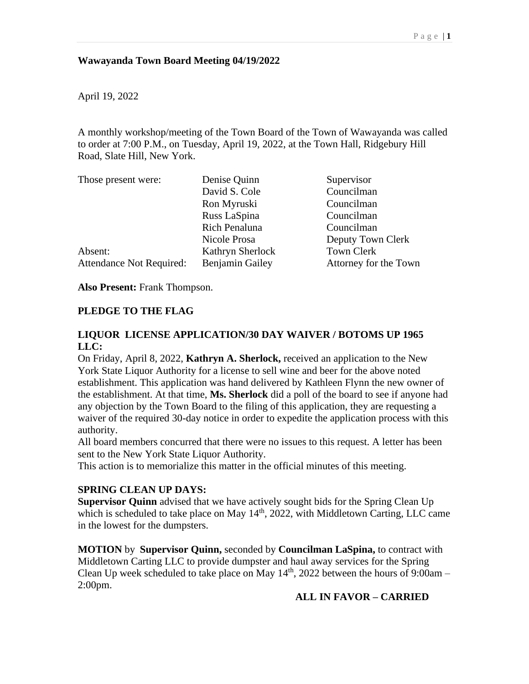## **Wawayanda Town Board Meeting 04/19/2022**

April 19, 2022

A monthly workshop/meeting of the Town Board of the Town of Wawayanda was called to order at 7:00 P.M., on Tuesday, April 19, 2022, at the Town Hall, Ridgebury Hill Road, Slate Hill, New York.

| Those present were:      | Denise Quinn           | Supervisor            |
|--------------------------|------------------------|-----------------------|
|                          | David S. Cole          | Councilman            |
|                          | Ron Myruski            | Councilman            |
|                          | Russ LaSpina           | Councilman            |
|                          | Rich Penaluna          | Councilman            |
|                          | Nicole Prosa           | Deputy Town Clerk     |
| Absent:                  | Kathryn Sherlock       | Town Clerk            |
| Attendance Not Required: | <b>Benjamin Gailey</b> | Attorney for the Town |

**Also Present:** Frank Thompson.

#### **PLEDGE TO THE FLAG**

# **LIQUOR LICENSE APPLICATION/30 DAY WAIVER / BOTOMS UP 1965 LLC:**

On Friday, April 8, 2022, **Kathryn A. Sherlock,** received an application to the New York State Liquor Authority for a license to sell wine and beer for the above noted establishment. This application was hand delivered by Kathleen Flynn the new owner of the establishment. At that time, **Ms. Sherlock** did a poll of the board to see if anyone had any objection by the Town Board to the filing of this application, they are requesting a waiver of the required 30-day notice in order to expedite the application process with this authority.

All board members concurred that there were no issues to this request. A letter has been sent to the New York State Liquor Authority.

This action is to memorialize this matter in the official minutes of this meeting.

#### **SPRING CLEAN UP DAYS:**

**Supervisor Quinn** advised that we have actively sought bids for the Spring Clean Up which is scheduled to take place on May  $14<sup>th</sup>$ , 2022, with Middletown Carting, LLC came in the lowest for the dumpsters.

**MOTION** by **Supervisor Quinn,** seconded by **Councilman LaSpina,** to contract with Middletown Carting LLC to provide dumpster and haul away services for the Spring Clean Up week scheduled to take place on May  $14<sup>th</sup>$ , 2022 between the hours of 9:00am – 2:00pm.

#### **ALL IN FAVOR – CARRIED**